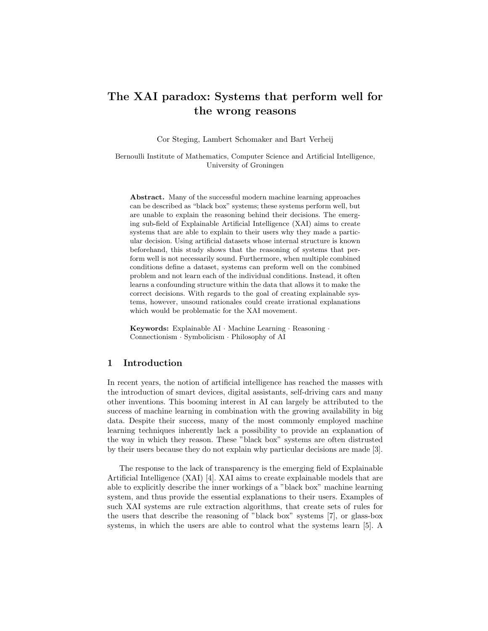# The XAI paradox: Systems that perform well for the wrong reasons

Cor Steging, Lambert Schomaker and Bart Verheij

Bernoulli Institute of Mathematics, Computer Science and Artificial Intelligence, University of Groningen

Abstract. Many of the successful modern machine learning approaches can be described as "black box" systems; these systems perform well, but are unable to explain the reasoning behind their decisions. The emerging sub-field of Explainable Artificial Intelligence (XAI) aims to create systems that are able to explain to their users why they made a particular decision. Using artificial datasets whose internal structure is known beforehand, this study shows that the reasoning of systems that perform well is not necessarily sound. Furthermore, when multiple combined conditions define a dataset, systems can preform well on the combined problem and not learn each of the individual conditions. Instead, it often learns a confounding structure within the data that allows it to make the correct decisions. With regards to the goal of creating explainable systems, however, unsound rationales could create irrational explanations which would be problematic for the XAI movement.

Keywords: Explainable AI · Machine Learning · Reasoning · Connectionism · Symbolicism · Philosophy of AI

# 1 Introduction

In recent years, the notion of artificial intelligence has reached the masses with the introduction of smart devices, digital assistants, self-driving cars and many other inventions. This booming interest in AI can largely be attributed to the success of machine learning in combination with the growing availability in big data. Despite their success, many of the most commonly employed machine learning techniques inherently lack a possibility to provide an explanation of the way in which they reason. These "black box" systems are often distrusted by their users because they do not explain why particular decisions are made [3].

The response to the lack of transparency is the emerging field of Explainable Artificial Intelligence (XAI) [4]. XAI aims to create explainable models that are able to explicitly describe the inner workings of a "black box" machine learning system, and thus provide the essential explanations to their users. Examples of such XAI systems are rule extraction algorithms, that create sets of rules for the users that describe the reasoning of "black box" systems [7], or glass-box systems, in which the users are able to control what the systems learn [5]. A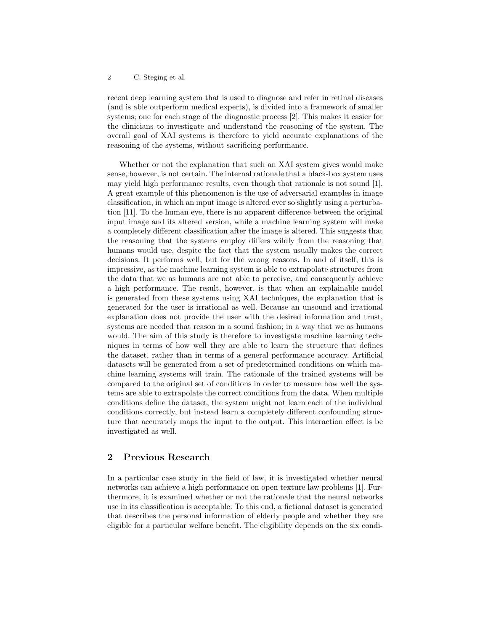recent deep learning system that is used to diagnose and refer in retinal diseases (and is able outperform medical experts), is divided into a framework of smaller systems; one for each stage of the diagnostic process [2]. This makes it easier for the clinicians to investigate and understand the reasoning of the system. The overall goal of XAI systems is therefore to yield accurate explanations of the reasoning of the systems, without sacrificing performance.

Whether or not the explanation that such an XAI system gives would make sense, however, is not certain. The internal rationale that a black-box system uses may yield high performance results, even though that rationale is not sound [1]. A great example of this phenomenon is the use of adversarial examples in image classification, in which an input image is altered ever so slightly using a perturbation [11]. To the human eye, there is no apparent difference between the original input image and its altered version, while a machine learning system will make a completely different classification after the image is altered. This suggests that the reasoning that the systems employ differs wildly from the reasoning that humans would use, despite the fact that the system usually makes the correct decisions. It performs well, but for the wrong reasons. In and of itself, this is impressive, as the machine learning system is able to extrapolate structures from the data that we as humans are not able to perceive, and consequently achieve a high performance. The result, however, is that when an explainable model is generated from these systems using XAI techniques, the explanation that is generated for the user is irrational as well. Because an unsound and irrational explanation does not provide the user with the desired information and trust, systems are needed that reason in a sound fashion; in a way that we as humans would. The aim of this study is therefore to investigate machine learning techniques in terms of how well they are able to learn the structure that defines the dataset, rather than in terms of a general performance accuracy. Artificial datasets will be generated from a set of predetermined conditions on which machine learning systems will train. The rationale of the trained systems will be compared to the original set of conditions in order to measure how well the systems are able to extrapolate the correct conditions from the data. When multiple conditions define the dataset, the system might not learn each of the individual conditions correctly, but instead learn a completely different confounding structure that accurately maps the input to the output. This interaction effect is be investigated as well.

## 2 Previous Research

In a particular case study in the field of law, it is investigated whether neural networks can achieve a high performance on open texture law problems [1]. Furthermore, it is examined whether or not the rationale that the neural networks use in its classification is acceptable. To this end, a fictional dataset is generated that describes the personal information of elderly people and whether they are eligible for a particular welfare benefit. The eligibility depends on the six condi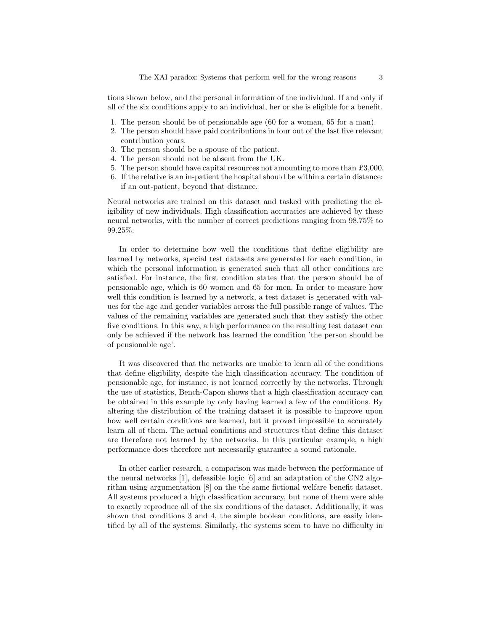tions shown below, and the personal information of the individual. If and only if all of the six conditions apply to an individual, her or she is eligible for a benefit.

- 1. The person should be of pensionable age (60 for a woman, 65 for a man).
- 2. The person should have paid contributions in four out of the last five relevant contribution years.
- 3. The person should be a spouse of the patient.
- 4. The person should not be absent from the UK.
- 5. The person should have capital resources not amounting to more than £3,000.
- 6. If the relative is an in-patient the hospital should be within a certain distance: if an out-patient, beyond that distance.

Neural networks are trained on this dataset and tasked with predicting the eligibility of new individuals. High classification accuracies are achieved by these neural networks, with the number of correct predictions ranging from 98.75% to 99.25%.

In order to determine how well the conditions that define eligibility are learned by networks, special test datasets are generated for each condition, in which the personal information is generated such that all other conditions are satisfied. For instance, the first condition states that the person should be of pensionable age, which is 60 women and 65 for men. In order to measure how well this condition is learned by a network, a test dataset is generated with values for the age and gender variables across the full possible range of values. The values of the remaining variables are generated such that they satisfy the other five conditions. In this way, a high performance on the resulting test dataset can only be achieved if the network has learned the condition 'the person should be of pensionable age'.

It was discovered that the networks are unable to learn all of the conditions that define eligibility, despite the high classification accuracy. The condition of pensionable age, for instance, is not learned correctly by the networks. Through the use of statistics, Bench-Capon shows that a high classification accuracy can be obtained in this example by only having learned a few of the conditions. By altering the distribution of the training dataset it is possible to improve upon how well certain conditions are learned, but it proved impossible to accurately learn all of them. The actual conditions and structures that define this dataset are therefore not learned by the networks. In this particular example, a high performance does therefore not necessarily guarantee a sound rationale.

In other earlier research, a comparison was made between the performance of the neural networks [1], defeasible logic [6] and an adaptation of the CN2 algorithm using argumentation [8] on the the same fictional welfare benefit dataset. All systems produced a high classification accuracy, but none of them were able to exactly reproduce all of the six conditions of the dataset. Additionally, it was shown that conditions 3 and 4, the simple boolean conditions, are easily identified by all of the systems. Similarly, the systems seem to have no difficulty in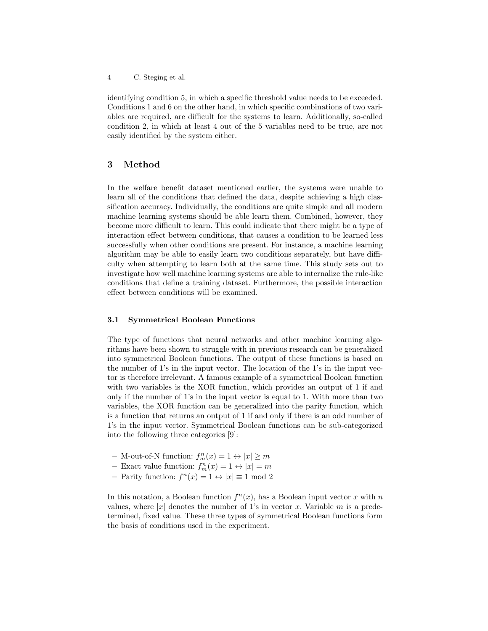identifying condition 5, in which a specific threshold value needs to be exceeded. Conditions 1 and 6 on the other hand, in which specific combinations of two variables are required, are difficult for the systems to learn. Additionally, so-called condition 2, in which at least 4 out of the 5 variables need to be true, are not easily identified by the system either.

# 3 Method

In the welfare benefit dataset mentioned earlier, the systems were unable to learn all of the conditions that defined the data, despite achieving a high classification accuracy. Individually, the conditions are quite simple and all modern machine learning systems should be able learn them. Combined, however, they become more difficult to learn. This could indicate that there might be a type of interaction effect between conditions, that causes a condition to be learned less successfully when other conditions are present. For instance, a machine learning algorithm may be able to easily learn two conditions separately, but have difficulty when attempting to learn both at the same time. This study sets out to investigate how well machine learning systems are able to internalize the rule-like conditions that define a training dataset. Furthermore, the possible interaction effect between conditions will be examined.

## 3.1 Symmetrical Boolean Functions

The type of functions that neural networks and other machine learning algorithms have been shown to struggle with in previous research can be generalized into symmetrical Boolean functions. The output of these functions is based on the number of 1's in the input vector. The location of the 1's in the input vector is therefore irrelevant. A famous example of a symmetrical Boolean function with two variables is the XOR function, which provides an output of 1 if and only if the number of 1's in the input vector is equal to 1. With more than two variables, the XOR function can be generalized into the parity function, which is a function that returns an output of 1 if and only if there is an odd number of 1's in the input vector. Symmetrical Boolean functions can be sub-categorized into the following three categories [9]:

- M-out-of-N function:  $f_m^n(x) = 1 \leftrightarrow |x| \geq m$
- Exact value function:  $f_m^n(x) = 1 \leftrightarrow |x| = m$
- Parity function:  $f^{n}(x) = 1 \leftrightarrow |x| \equiv 1 \mod 2$

In this notation, a Boolean function  $f^{n}(x)$ , has a Boolean input vector x with n values, where |x| denotes the number of 1's in vector x. Variable m is a predetermined, fixed value. These three types of symmetrical Boolean functions form the basis of conditions used in the experiment.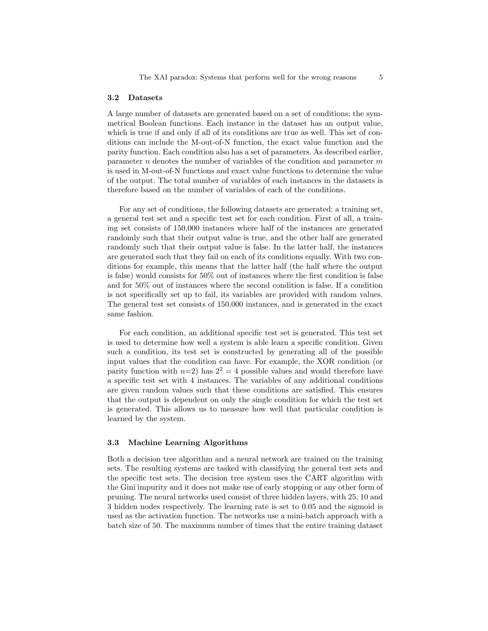#### 3.2 Datasets

A large number of datasets are generated based on a set of conditions; the symmetrical Boolean functions. Each instance in the dataset has an output value, which is true if and only if all of its conditions are true as well. This set of conditions can include the M-out-of-N function, the exact value function and the parity function. Each condition also has a set of parameters. As described earlier, parameter  $n$  denotes the number of variables of the condition and parameter  $m$ is used in M-out-of-N functions and exact value functions to determine the value of the output. The total number of variables of each instances in the datasets is therefore based on the number of variables of each of the conditions.

For any set of conditions, the following datasets are generated: a training set, a general test set and a specific test set for each condition. First of all, a training set consists of 150,000 instances where half of the instances are generated randomly such that their output value is true, and the other half are generated randomly such that their output value is false. In the latter half, the instances are generated such that they fail on each of its conditions equally. With two conditions for example, this means that the latter half (the half where the output is false) would consists for 50% out of instances where the first condition is false and for 50% out of instances where the second condition is false. If a condition is not specifically set up to fail, its variables are provided with random values. The general test set consists of 150,000 instances, and is generated in the exact same fashion.

For each condition, an additional specific test set is generated. This test set is used to determine how well a system is able learn a specific condition. Given such a condition, its test set is constructed by generating all of the possible input values that the condition can have. For example, the XOR condition (or parity function with  $n=2$ ) has  $2^2 = 4$  possible values and would therefore have a specific test set with 4 instances. The variables of any additional conditions are given random values such that these conditions are satisfied. This ensures that the output is dependent on only the single condition for which the test set is generated. This allows us to measure how well that particular condition is learned by the system.

#### 3.3 Machine Learning Algorithms

Both a decision tree algorithm and a neural network are trained on the training sets. The resulting systems are tasked with classifying the general test sets and the specific test sets. The decision tree system uses the CART algorithm with the Gini impurity and it does not make use of early stopping or any other form of pruning. The neural networks used consist of three hidden layers, with 25, 10 and 3 hidden nodes respectively. The learning rate is set to 0.05 and the sigmoid is used as the activation function. The networks use a mini-batch approach with a batch size of 50. The maximum number of times that the entire training dataset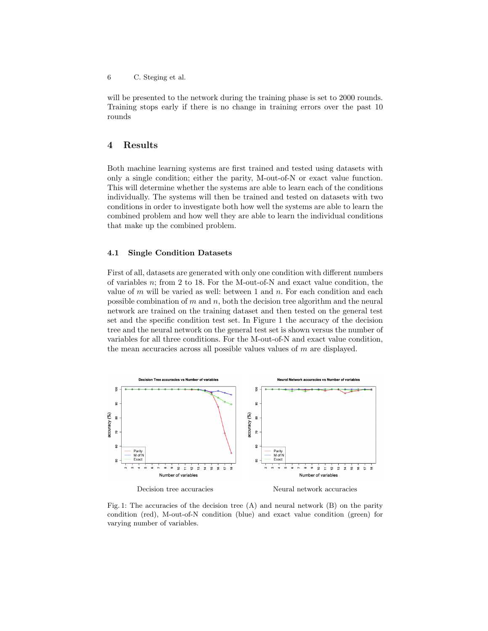will be presented to the network during the training phase is set to 2000 rounds. Training stops early if there is no change in training errors over the past 10 rounds

## 4 Results

Both machine learning systems are first trained and tested using datasets with only a single condition; either the parity, M-out-of-N or exact value function. This will determine whether the systems are able to learn each of the conditions individually. The systems will then be trained and tested on datasets with two conditions in order to investigate both how well the systems are able to learn the combined problem and how well they are able to learn the individual conditions that make up the combined problem.

### 4.1 Single Condition Datasets

First of all, datasets are generated with only one condition with different numbers of variables n; from 2 to 18. For the M-out-of-N and exact value condition, the value of  $m$  will be varied as well: between 1 and  $n$ . For each condition and each possible combination of  $m$  and  $n$ , both the decision tree algorithm and the neural network are trained on the training dataset and then tested on the general test set and the specific condition test set. In Figure 1 the accuracy of the decision tree and the neural network on the general test set is shown versus the number of variables for all three conditions. For the M-out-of-N and exact value condition, the mean accuracies across all possible values values of m are displayed.



Fig. 1: The accuracies of the decision tree  $(A)$  and neural network  $(B)$  on the parity condition (red), M-out-of-N condition (blue) and exact value condition (green) for varying number of variables.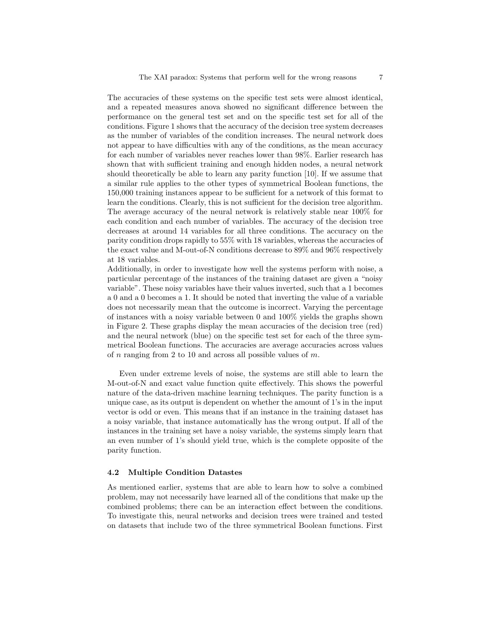The accuracies of these systems on the specific test sets were almost identical, and a repeated measures anova showed no significant difference between the performance on the general test set and on the specific test set for all of the conditions. Figure 1 shows that the accuracy of the decision tree system decreases as the number of variables of the condition increases. The neural network does not appear to have difficulties with any of the conditions, as the mean accuracy for each number of variables never reaches lower than 98%. Earlier research has shown that with sufficient training and enough hidden nodes, a neural network should theoretically be able to learn any parity function [10]. If we assume that a similar rule applies to the other types of symmetrical Boolean functions, the 150,000 training instances appear to be sufficient for a network of this format to learn the conditions. Clearly, this is not sufficient for the decision tree algorithm. The average accuracy of the neural network is relatively stable near 100% for each condition and each number of variables. The accuracy of the decision tree decreases at around 14 variables for all three conditions. The accuracy on the parity condition drops rapidly to 55% with 18 variables, whereas the accuracies of the exact value and M-out-of-N conditions decrease to 89% and 96% respectively at 18 variables.

Additionally, in order to investigate how well the systems perform with noise, a particular percentage of the instances of the training dataset are given a "noisy variable". These noisy variables have their values inverted, such that a 1 becomes a 0 and a 0 becomes a 1. It should be noted that inverting the value of a variable does not necessarily mean that the outcome is incorrect. Varying the percentage of instances with a noisy variable between 0 and 100% yields the graphs shown in Figure 2. These graphs display the mean accuracies of the decision tree (red) and the neural network (blue) on the specific test set for each of the three symmetrical Boolean functions. The accuracies are average accuracies across values of  $n$  ranging from 2 to 10 and across all possible values of  $m$ .

Even under extreme levels of noise, the systems are still able to learn the M-out-of-N and exact value function quite effectively. This shows the powerful nature of the data-driven machine learning techniques. The parity function is a unique case, as its output is dependent on whether the amount of 1's in the input vector is odd or even. This means that if an instance in the training dataset has a noisy variable, that instance automatically has the wrong output. If all of the instances in the training set have a noisy variable, the systems simply learn that an even number of 1's should yield true, which is the complete opposite of the parity function.

#### 4.2 Multiple Condition Datastes

As mentioned earlier, systems that are able to learn how to solve a combined problem, may not necessarily have learned all of the conditions that make up the combined problems; there can be an interaction effect between the conditions. To investigate this, neural networks and decision trees were trained and tested on datasets that include two of the three symmetrical Boolean functions. First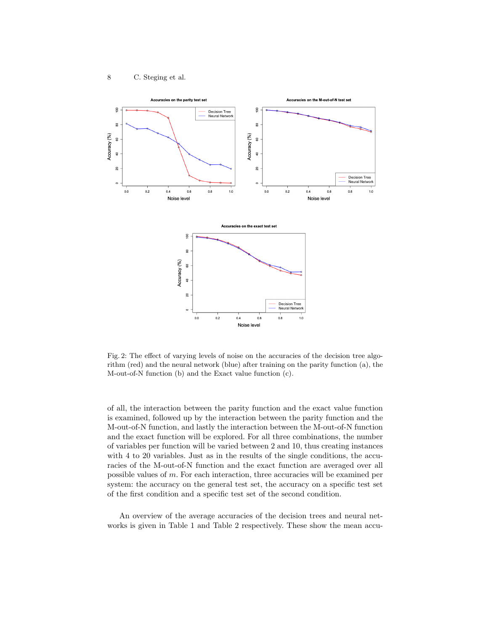

Fig. 2: The effect of varying levels of noise on the accuracies of the decision tree algorithm (red) and the neural network (blue) after training on the parity function (a), the M-out-of-N function (b) and the Exact value function (c).

of all, the interaction between the parity function and the exact value function is examined, followed up by the interaction between the parity function and the M-out-of-N function, and lastly the interaction between the M-out-of-N function and the exact function will be explored. For all three combinations, the number of variables per function will be varied between 2 and 10, thus creating instances with 4 to 20 variables. Just as in the results of the single conditions, the accuracies of the M-out-of-N function and the exact function are averaged over all possible values of m. For each interaction, three accuracies will be examined per system: the accuracy on the general test set, the accuracy on a specific test set of the first condition and a specific test set of the second condition.

An overview of the average accuracies of the decision trees and neural networks is given in Table 1 and Table 2 respectively. These show the mean accu-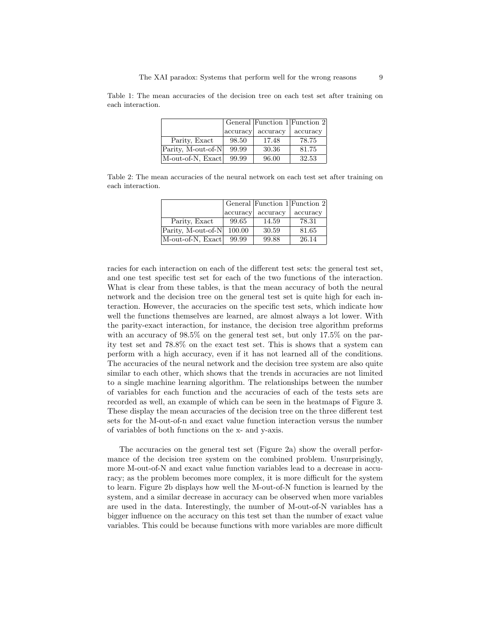|                    |          | General Function 1 Function 2 |          |
|--------------------|----------|-------------------------------|----------|
|                    | accuracy | accuracy                      | accuracy |
| Parity, Exact      | 98.50    | 17.48                         | 78.75    |
| Parity, M-out-of-N | 99.99    | 30.36                         | 81.75    |
| M-out-of-N, Exact  | 99.99    | 96.00                         | 32.53    |

Table 1: The mean accuracies of the decision tree on each test set after training on each interaction.

Table 2: The mean accuracies of the neural network on each test set after training on each interaction.

|                    |          |          | General Function 1 Function 2 |
|--------------------|----------|----------|-------------------------------|
|                    | accuracy | accuracy | accuracy                      |
| Parity, Exact      | 99.65    | 14.59    | 78.31                         |
| Parity, M-out-of-N | 100.00   | 30.59    | 81.65                         |
| M-out-of-N, Exact  | 99.99    | 99.88    | 26.14                         |

racies for each interaction on each of the different test sets: the general test set, and one test specific test set for each of the two functions of the interaction. What is clear from these tables, is that the mean accuracy of both the neural network and the decision tree on the general test set is quite high for each interaction. However, the accuracies on the specific test sets, which indicate how well the functions themselves are learned, are almost always a lot lower. With the parity-exact interaction, for instance, the decision tree algorithm preforms with an accuracy of 98.5% on the general test set, but only 17.5% on the parity test set and 78.8% on the exact test set. This is shows that a system can perform with a high accuracy, even if it has not learned all of the conditions. The accuracies of the neural network and the decision tree system are also quite similar to each other, which shows that the trends in accuracies are not limited to a single machine learning algorithm. The relationships between the number of variables for each function and the accuracies of each of the tests sets are recorded as well, an example of which can be seen in the heatmaps of Figure 3. These display the mean accuracies of the decision tree on the three different test sets for the M-out-of-n and exact value function interaction versus the number of variables of both functions on the x- and y-axis.

The accuracies on the general test set (Figure 2a) show the overall performance of the decision tree system on the combined problem. Unsurprisingly, more M-out-of-N and exact value function variables lead to a decrease in accuracy; as the problem becomes more complex, it is more difficult for the system to learn. Figure 2b displays how well the M-out-of-N function is learned by the system, and a similar decrease in accuracy can be observed when more variables are used in the data. Interestingly, the number of M-out-of-N variables has a bigger influence on the accuracy on this test set than the number of exact value variables. This could be because functions with more variables are more difficult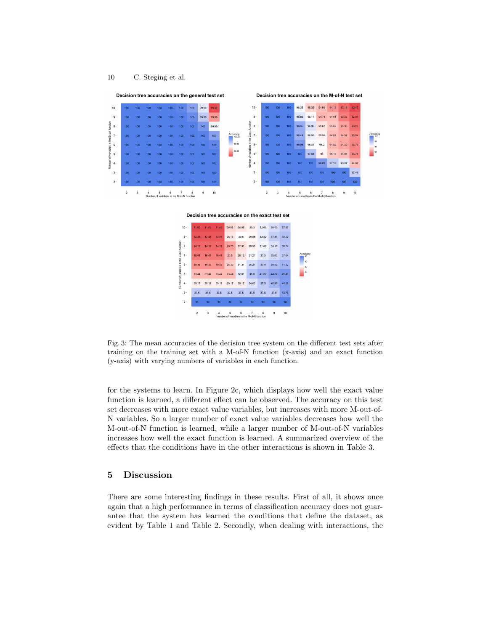

Fig. 3: The mean accuracies of the decision tree system on the different test sets after training on the training set with a M-of-N function (x-axis) and an exact function (y-axis) with varying numbers of variables in each function.

for the systems to learn. In Figure 2c, which displays how well the exact value function is learned, a different effect can be observed. The accuracy on this test set decreases with more exact value variables, but increases with more M-out-of-N variables. So a larger number of exact value variables decreases how well the M-out-of-N function is learned, while a larger number of M-out-of-N variables increases how well the exact function is learned. A summarized overview of the effects that the conditions have in the other interactions is shown in Table 3.

# 5 Discussion

There are some interesting findings in these results. First of all, it shows once again that a high performance in terms of classification accuracy does not guarantee that the system has learned the conditions that define the dataset, as evident by Table 1 and Table 2. Secondly, when dealing with interactions, the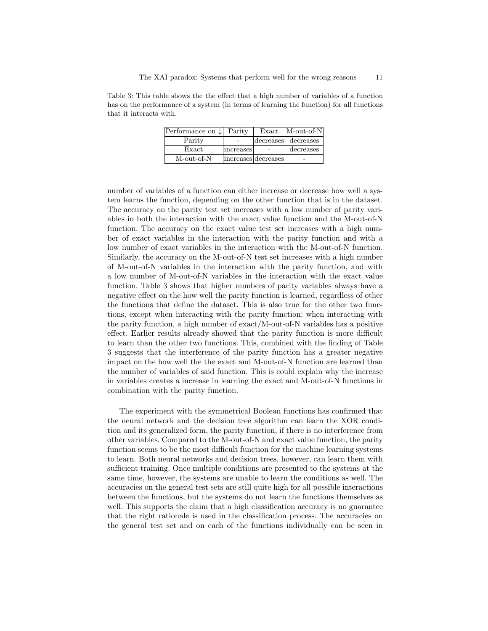Table 3: This table shows the the effect that a high number of variables of a function has on the performance of a system (in terms of learning the function) for all functions that it interacts with.

| Performance on $\downarrow$ | Parity    | Exact               | $M$ -out-of-N       |
|-----------------------------|-----------|---------------------|---------------------|
| Parity                      |           |                     | decreases decreases |
| Exact                       | increases |                     | decreases           |
| M-out-of-N                  |           | increases decreases |                     |

number of variables of a function can either increase or decrease how well a system learns the function, depending on the other function that is in the dataset. The accuracy on the parity test set increases with a low number of parity variables in both the interaction with the exact value function and the M-out-of-N function. The accuracy on the exact value test set increases with a high number of exact variables in the interaction with the parity function and with a low number of exact variables in the interaction with the M-out-of-N function. Similarly, the accuracy on the M-out-of-N test set increases with a high number of M-out-of-N variables in the interaction with the parity function, and with a low number of M-out-of-N variables in the interaction with the exact value function. Table 3 shows that higher numbers of parity variables always have a negative effect on the how well the parity function is learned, regardless of other the functions that define the dataset. This is also true for the other two functions, except when interacting with the parity function; when interacting with the parity function, a high number of exact/M-out-of-N variables has a positive effect. Earlier results already showed that the parity function is more difficult to learn than the other two functions. This, combined with the finding of Table 3 suggests that the interference of the parity function has a greater negative impact on the how well the the exact and M-out-of-N function are learned than the number of variables of said function. This is could explain why the increase in variables creates a increase in learning the exact and M-out-of-N functions in combination with the parity function.

The experiment with the symmetrical Boolean functions has confirmed that the neural network and the decision tree algorithm can learn the XOR condition and its generalized form, the parity function, if there is no interference from other variables. Compared to the M-out-of-N and exact value function, the parity function seems to be the most difficult function for the machine learning systems to learn. Both neural networks and decision trees, however, can learn them with sufficient training. Once multiple conditions are presented to the systems at the same time, however, the systems are unable to learn the conditions as well. The accuracies on the general test sets are still quite high for all possible interactions between the functions, but the systems do not learn the functions themselves as well. This supports the claim that a high classification accuracy is no guarantee that the right rationale is used in the classification process. The accuracies on the general test set and on each of the functions individually can be seen in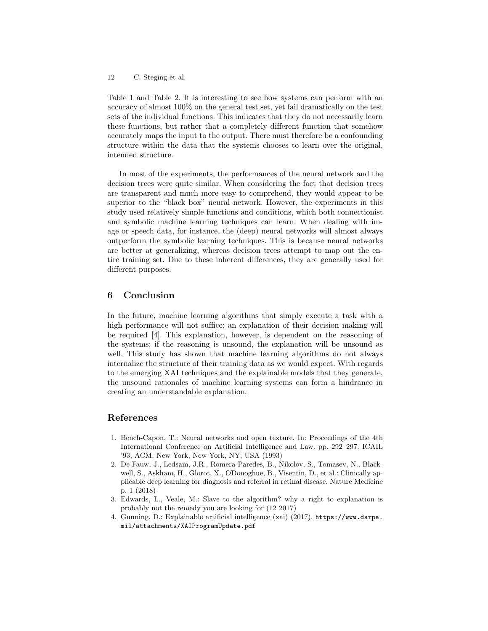Table 1 and Table 2. It is interesting to see how systems can perform with an accuracy of almost 100% on the general test set, yet fail dramatically on the test sets of the individual functions. This indicates that they do not necessarily learn these functions, but rather that a completely different function that somehow accurately maps the input to the output. There must therefore be a confounding structure within the data that the systems chooses to learn over the original, intended structure.

In most of the experiments, the performances of the neural network and the decision trees were quite similar. When considering the fact that decision trees are transparent and much more easy to comprehend, they would appear to be superior to the "black box" neural network. However, the experiments in this study used relatively simple functions and conditions, which both connectionist and symbolic machine learning techniques can learn. When dealing with image or speech data, for instance, the (deep) neural networks will almost always outperform the symbolic learning techniques. This is because neural networks are better at generalizing, whereas decision trees attempt to map out the entire training set. Due to these inherent differences, they are generally used for different purposes.

## 6 Conclusion

In the future, machine learning algorithms that simply execute a task with a high performance will not suffice; an explanation of their decision making will be required [4]. This explanation, however, is dependent on the reasoning of the systems; if the reasoning is unsound, the explanation will be unsound as well. This study has shown that machine learning algorithms do not always internalize the structure of their training data as we would expect. With regards to the emerging XAI techniques and the explainable models that they generate, the unsound rationales of machine learning systems can form a hindrance in creating an understandable explanation.

## References

- 1. Bench-Capon, T.: Neural networks and open texture. In: Proceedings of the 4th International Conference on Artificial Intelligence and Law. pp. 292–297. ICAIL '93, ACM, New York, New York, NY, USA (1993)
- 2. De Fauw, J., Ledsam, J.R., Romera-Paredes, B., Nikolov, S., Tomasev, N., Blackwell, S., Askham, H., Glorot, X., ODonoghue, B., Visentin, D., et al.: Clinically applicable deep learning for diagnosis and referral in retinal disease. Nature Medicine p. 1 (2018)
- 3. Edwards, L., Veale, M.: Slave to the algorithm? why a right to explanation is probably not the remedy you are looking for (12 2017)
- 4. Gunning, D.: Explainable artificial intelligence (xai) (2017), https://www.darpa. mil/attachments/XAIProgramUpdate.pdf